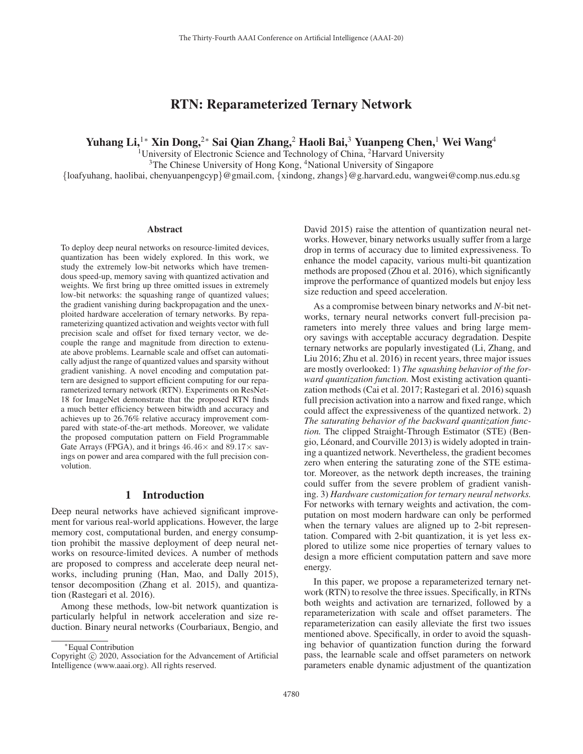# RTN: Reparameterized Ternary Network

Yuhang Li,<sup>1</sup>\* Xin Dong,<sup>2</sup>\* Sai Qian Zhang,<sup>2</sup> Haoli Bai,<sup>3</sup> Yuanpeng Chen,<sup>1</sup> Wei Wang<sup>4</sup>

<sup>1</sup>University of Electronic Science and Technology of China,  ${}^{2}$ Harvard University

<sup>3</sup>The Chinese University of Hong Kong, <sup>4</sup>National University of Singapore

{loafyuhang, haolibai, chenyuanpengcyp}@gmail.com, {xindong, zhangs}@g.harvard.edu, wangwei@comp.nus.edu.sg

#### Abstract

To deploy deep neural networks on resource-limited devices, quantization has been widely explored. In this work, we study the extremely low-bit networks which have tremendous speed-up, memory saving with quantized activation and weights. We first bring up three omitted issues in extremely low-bit networks: the squashing range of quantized values; the gradient vanishing during backpropagation and the unexploited hardware acceleration of ternary networks. By reparameterizing quantized activation and weights vector with full precision scale and offset for fixed ternary vector, we decouple the range and magnitude from direction to extenuate above problems. Learnable scale and offset can automatically adjust the range of quantized values and sparsity without gradient vanishing. A novel encoding and computation pattern are designed to support efficient computing for our reparameterized ternary network (RTN). Experiments on ResNet-18 for ImageNet demonstrate that the proposed RTN finds a much better efficiency between bitwidth and accuracy and achieves up to 26.76% relative accuracy improvement compared with state-of-the-art methods. Moreover, we validate the proposed computation pattern on Field Programmable Gate Arrays (FPGA), and it brings  $46.46\times$  and  $89.17\times$  savings on power and area compared with the full precision convolution.

## 1 Introduction

Deep neural networks have achieved significant improvement for various real-world applications. However, the large memory cost, computational burden, and energy consumption prohibit the massive deployment of deep neural networks on resource-limited devices. A number of methods are proposed to compress and accelerate deep neural networks, including pruning (Han, Mao, and Dally 2015), tensor decomposition (Zhang et al. 2015), and quantization (Rastegari et al. 2016).

Among these methods, low-bit network quantization is particularly helpful in network acceleration and size reduction. Binary neural networks (Courbariaux, Bengio, and

David 2015) raise the attention of quantization neural networks. However, binary networks usually suffer from a large drop in terms of accuracy due to limited expressiveness. To enhance the model capacity, various multi-bit quantization methods are proposed (Zhou et al. 2016), which significantly improve the performance of quantized models but enjoy less size reduction and speed acceleration.

As a compromise between binary networks and *N*-bit networks, ternary neural networks convert full-precision parameters into merely three values and bring large memory savings with acceptable accuracy degradation. Despite ternary networks are popularly investigated (Li, Zhang, and Liu 2016; Zhu et al. 2016) in recent years, three major issues are mostly overlooked: 1) *The squashing behavior of the forward quantization function.* Most existing activation quantization methods (Cai et al. 2017; Rastegari et al. 2016) squash full precision activation into a narrow and fixed range, which could affect the expressiveness of the quantized network. 2) *The saturating behavior of the backward quantization function.* The clipped Straight-Through Estimator (STE) (Bengio, Leonard, and Courville 2013) is widely adopted in train- ´ ing a quantized network. Nevertheless, the gradient becomes zero when entering the saturating zone of the STE estimator. Moreover, as the network depth increases, the training could suffer from the severe problem of gradient vanishing. 3) *Hardware customization for ternary neural networks.* For networks with ternary weights and activation, the computation on most modern hardware can only be performed when the ternary values are aligned up to 2-bit representation. Compared with 2-bit quantization, it is yet less explored to utilize some nice properties of ternary values to design a more efficient computation pattern and save more energy.

In this paper, we propose a reparameterized ternary network (RTN) to resolve the three issues. Specifically, in RTNs both weights and activation are ternarized, followed by a reparameterization with scale and offset parameters. The reparameterization can easily alleviate the first two issues mentioned above. Specifically, in order to avoid the squashing behavior of quantization function during the forward pass, the learnable scale and offset parameters on network parameters enable dynamic adjustment of the quantization

<sup>∗</sup>Equal Contribution

Copyright  $\odot$  2020, Association for the Advancement of Artificial Intelligence (www.aaai.org). All rights reserved.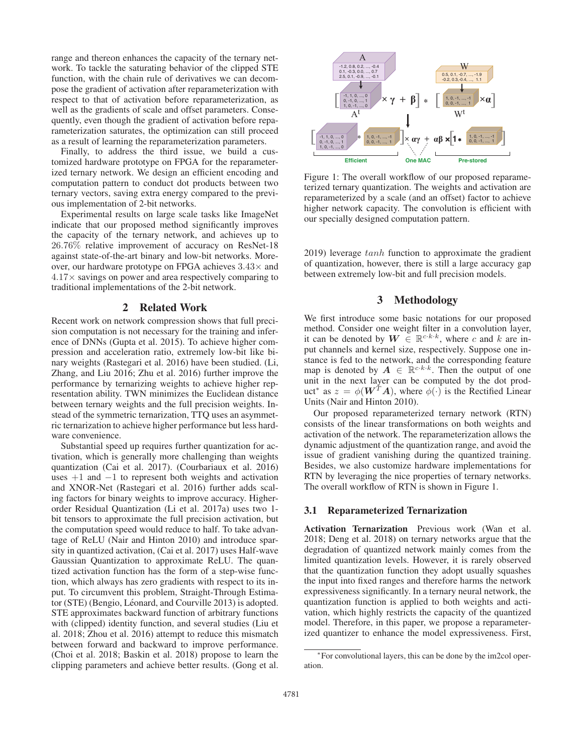range and thereon enhances the capacity of the ternary network. To tackle the saturating behavior of the clipped STE function, with the chain rule of derivatives we can decompose the gradient of activation after reparameterization with respect to that of activation before reparameterization, as well as the gradients of scale and offset parameters. Consequently, even though the gradient of activation before reparameterization saturates, the optimization can still proceed as a result of learning the reparameterization parameters.

Finally, to address the third issue, we build a customized hardware prototype on FPGA for the reparameterized ternary network. We design an efficient encoding and computation pattern to conduct dot products between two ternary vectors, saving extra energy compared to the previous implementation of 2-bit networks.

Experimental results on large scale tasks like ImageNet indicate that our proposed method significantly improves the capacity of the ternary network, and achieves up to 26.76% relative improvement of accuracy on ResNet-18 against state-of-the-art binary and low-bit networks. Moreover, our hardware prototype on FPGA achieves  $3.43\times$  and  $4.17\times$  savings on power and area respectively comparing to traditional implementations of the 2-bit network.

# 2 Related Work

Recent work on network compression shows that full precision computation is not necessary for the training and inference of DNNs (Gupta et al. 2015). To achieve higher compression and acceleration ratio, extremely low-bit like binary weights (Rastegari et al. 2016) have been studied. (Li, Zhang, and Liu 2016; Zhu et al. 2016) further improve the performance by ternarizing weights to achieve higher representation ability. TWN minimizes the Euclidean distance between ternary weights and the full precision weights. Instead of the symmetric ternarization, TTQ uses an asymmetric ternarization to achieve higher performance but less hardware convenience.

Substantial speed up requires further quantization for activation, which is generally more challenging than weights quantization (Cai et al. 2017). (Courbariaux et al. 2016) uses  $+1$  and  $-1$  to represent both weights and activation and XNOR-Net (Rastegari et al. 2016) further adds scaling factors for binary weights to improve accuracy. Higherorder Residual Quantization (Li et al. 2017a) uses two 1 bit tensors to approximate the full precision activation, but the computation speed would reduce to half. To take advantage of ReLU (Nair and Hinton 2010) and introduce sparsity in quantized activation, (Cai et al. 2017) uses Half-wave Gaussian Quantization to approximate ReLU. The quantized activation function has the form of a step-wise function, which always has zero gradients with respect to its input. To circumvent this problem, Straight-Through Estimator (STE) (Bengio, Léonard, and Courville 2013) is adopted. STE approximates backward function of arbitrary functions with (clipped) identity function, and several studies (Liu et al. 2018; Zhou et al. 2016) attempt to reduce this mismatch between forward and backward to improve performance. (Choi et al. 2018; Baskin et al. 2018) propose to learn the clipping parameters and achieve better results. (Gong et al.



Figure 1: The overall workflow of our proposed reparameterized ternary quantization. The weights and activation are reparameterized by a scale (and an offset) factor to achieve higher network capacity. The convolution is efficient with our specially designed computation pattern.

2019) leverage tanh function to approximate the gradient of quantization, however, there is still a large accuracy gap between extremely low-bit and full precision models.

# 3 Methodology

We first introduce some basic notations for our proposed method. Consider one weight filter in a convolution layer, it can be denoted by  $W \in \mathbb{R}^{c \cdot k \cdot k}$ , where c and k are input channels and kernel size, respectively. Suppose one instance is fed to the network, and the corresponding feature map is denoted by  $A \in \mathbb{R}^{c \cdot k \cdot k}$ . Then the output of one unit in the next layer can be computed by the dot product<sup>\*</sup> as  $z = \phi(\mathbf{W}^T \mathbf{A})$ , where  $\phi(\cdot)$  is the Rectified Linear Units (Nair and Hinton 2010).

Our proposed reparameterized ternary network (RTN) consists of the linear transformations on both weights and activation of the network. The reparameterization allows the dynamic adjustment of the quantization range, and avoid the issue of gradient vanishing during the quantized training. Besides, we also customize hardware implementations for RTN by leveraging the nice properties of ternary networks. The overall workflow of RTN is shown in Figure 1.

#### 3.1 Reparameterized Ternarization

Activation Ternarization Previous work (Wan et al. 2018; Deng et al. 2018) on ternary networks argue that the degradation of quantized network mainly comes from the limited quantization levels. However, it is rarely observed that the quantization function they adopt usually squashes the input into fixed ranges and therefore harms the network expressiveness significantly. In a ternary neural network, the quantization function is applied to both weights and activation, which highly restricts the capacity of the quantized model. Therefore, in this paper, we propose a reparameterized quantizer to enhance the model expressiveness. First,

<sup>∗</sup>For convolutional layers, this can be done by the im2col operation.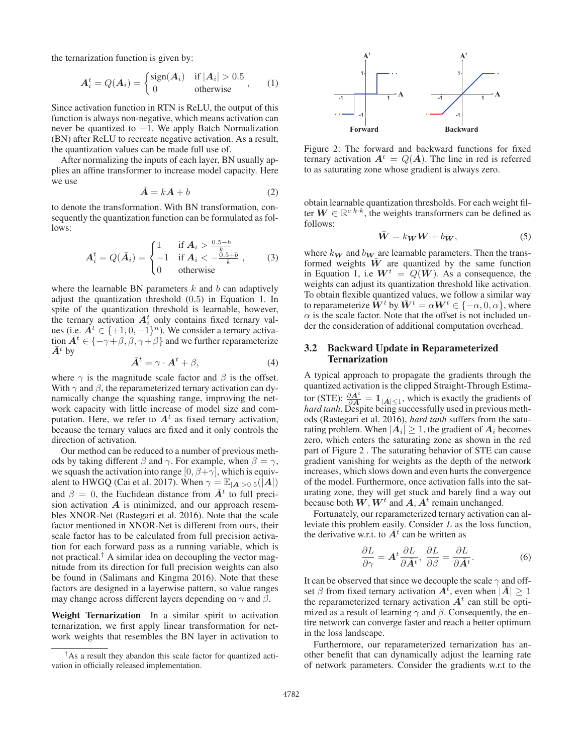the ternarization function is given by:

$$
A_i^t = Q(A_i) = \begin{cases} \text{sign}(A_i) & \text{if } |A_i| > 0.5 \\ 0 & \text{otherwise} \end{cases}, \qquad (1)
$$

Since activation function in RTN is ReLU, the output of this function is always non-negative, which means activation can never be quantized to  $-1$ . We apply Batch Normalization (BN) after ReLU to recreate negative activation. As a result, the quantization values can be made full use of.

After normalizing the inputs of each layer, BN usually applies an affine transformer to increase model capacity. Here we use

$$
\bar{A} = kA + b \tag{2}
$$

to denote the transformation. With BN transformation, consequently the quantization function can be formulated as follows:

$$
A_i^t = Q(\bar{A}_i) = \begin{cases} 1 & \text{if } A_i > \frac{0.5-b}{k} \\ -1 & \text{if } A_i < -\frac{0.5+b}{k} \\ 0 & \text{otherwise} \end{cases}
$$
 (3)

where the learnable BN parameters  $k$  and  $b$  can adaptively adjust the quantization threshold (0.5) in Equation 1. In spite of the quantization threshold is learnable, however, the ternary activation  $A_i^t$  only contains fixed ternary values (i.e.  $A^t \in \{+1, 0, -1\}^n$ ). We consider a ternary activation  $\overline{A}^t \in \{-\gamma + \beta, \beta, \gamma + \beta\}$  and we further reparameterize  $\bar{A}^t$  by

$$
\bar{A}^t = \gamma \cdot A^t + \beta,\tag{4}
$$

where  $\gamma$  is the magnitude scale factor and  $\beta$  is the offset. With  $\gamma$  and  $\beta$ , the reparameterized ternary activation can dynamically change the squashing range, improving the network capacity with little increase of model size and computation. Here, we refer to  $A<sup>t</sup>$  as fixed ternary activation, because the ternary values are fixed and it only controls the direction of activation.

Our method can be reduced to a number of previous methods by taking different  $\beta$  and  $\gamma$ . For example, when  $\beta = \gamma$ , we squash the activation into range  $[0, \beta + \gamma]$ , which is equivalent to HWGQ (Cai et al. 2017). When  $\gamma = \mathbb{E}_{|\mathbf{A}| > 0.5}(|\mathbf{A}|)$ and  $\beta = 0$ , the Euclidean distance from  $\overline{A}^t$  to full precision activation *A* is minimized, and our approach resembles XNOR-Net (Rastegari et al. 2016). Note that the scale factor mentioned in XNOR-Net is different from ours, their scale factor has to be calculated from full precision activation for each forward pass as a running variable, which is not practical.<sup>†</sup> A similar idea on decoupling the vector magnitude from its direction for full precision weights can also be found in (Salimans and Kingma 2016). Note that these factors are designed in a layerwise pattern, so value ranges may change across different layers depending on  $\gamma$  and  $\beta$ .

Weight Ternarization In a similar spirit to activation ternarization, we first apply linear transformation for network weights that resembles the BN layer in activation to



Figure 2: The forward and backward functions for fixed ternary activation  $A^t = Q(A)$ . The line in red is referred to as saturating zone whose gradient is always zero.

obtain learnable quantization thresholds. For each weight filter  $W \in \mathbb{R}^{c \cdot k \cdot k}$ , the weights transformers can be defined as follows:

$$
\bar{W} = k_W W + b_W, \qquad (5)
$$

where  $k_{\mathbf{W}}$  and  $b_{\mathbf{W}}$  are learnable parameters. Then the transformed weights  $\overline{W}$  are quantized by the same function in Equation 1, i.e  $W^t = Q(\bar{W})$ . As a consequence, the weights can adjust its quantization threshold like activation. To obtain flexible quantized values, we follow a similar way to reparameterize  $\tilde{W}^t$  by  $\bar{W}^t = \alpha W^t \in \{-\alpha, 0, \alpha\}$ , where  $\alpha$  is the scale factor. Note that the offset is not included under the consideration of additional computation overhead.

## 3.2 Backward Update in Reparameterized Ternarization

A typical approach to propagate the gradients through the quantized activation is the clipped Straight-Through Estimator (STE):  $\frac{\partial A^t}{\partial A} = \mathbf{1}_{|\bar{A}| \leq 1}$ , which is exactly the gradients of *hard tanh*. Despite being successfully used in previous methods (Rastegari et al. 2016), *hard tanh* suffers from the saturating problem. When  $|\overline{A}_i| \geq 1$ , the gradient of  $\overline{A}_i$  becomes zero, which enters the saturating zone as shown in the red part of Figure 2 . The saturating behavior of STE can cause gradient vanishing for weights as the depth of the network increases, which slows down and even hurts the convergence of the model. Furthermore, once activation falls into the saturating zone, they will get stuck and barely find a way out because both  $W, W^t$  and  $A, A^t$  remain unchanged.

Fortunately, our reparameterized ternary activation can alleviate this problem easily. Consider  $L$  as the loss function, the derivative w.r.t. to  $\bar{A}^t$  can be written as

$$
\frac{\partial L}{\partial \gamma} = A^t \frac{\partial L}{\partial \bar{A}^t}, \ \frac{\partial L}{\partial \beta} = \frac{\partial L}{\partial \bar{A}^t}.
$$
 (6)

It can be observed that since we decouple the scale  $\gamma$  and offset  $\beta$  from fixed ternary activation  $A^{\dagger}$ , even when  $|\bar{A}| \geq 1$ the reparameterized ternary activation  $\overline{A}^t$  can still be optimized as a result of learning  $\gamma$  and  $\beta$ . Consequently, the entire network can converge faster and reach a better optimum in the loss landscape.

Furthermore, our reparameterized ternarization has another benefit that can dynamically adjust the learning rate of network parameters. Consider the gradients w.r.t to the

<sup>†</sup>As a result they abandon this scale factor for quantized activation in officially released implementation.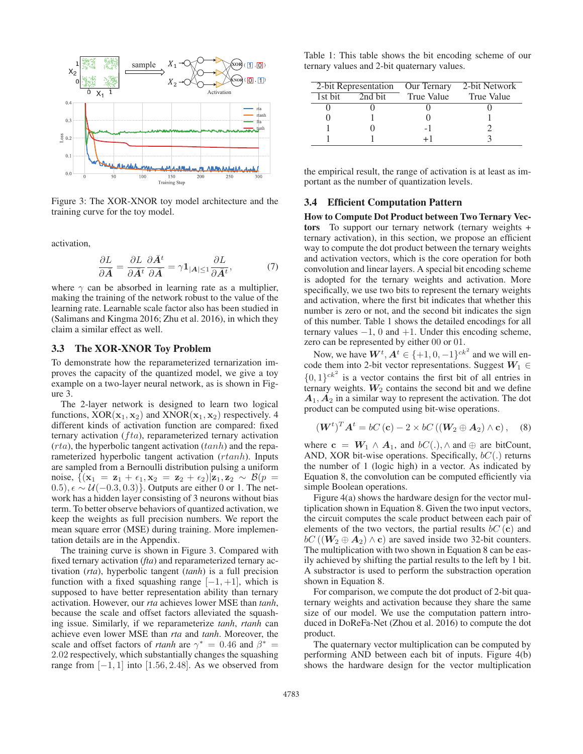

Figure 3: The XOR-XNOR toy model architecture and the training curve for the toy model.

activation,

$$
\frac{\partial L}{\partial \bar{A}} = \frac{\partial L}{\partial \bar{A}^t} \frac{\partial \bar{A}^t}{\partial \bar{A}} = \gamma \mathbf{1}_{|\mathcal{A}| \le 1} \frac{\partial L}{\partial \bar{A}^t},\tag{7}
$$

where  $\gamma$  can be absorbed in learning rate as a multiplier, making the training of the network robust to the value of the learning rate. Learnable scale factor also has been studied in (Salimans and Kingma 2016; Zhu et al. 2016), in which they claim a similar effect as well.

#### 3.3 The XOR-XNOR Toy Problem

To demonstrate how the reparameterized ternarization improves the capacity of the quantized model, we give a toy example on a two-layer neural network, as is shown in Figure 3.

The 2-layer network is designed to learn two logical functions,  $XOR(\mathbf{x}_1, \mathbf{x}_2)$  and  $XNR(\mathbf{x}_1, \mathbf{x}_2)$  respectively. 4 different kinds of activation function are compared: fixed ternary activation  $(fta)$ , reparameterized ternary activation  $(rta)$ , the hyperbolic tangent activation  $(tanh)$  and the reparameterized hyperbolic tangent activation (*rtanh*). Inputs are sampled from a Bernoulli distribution pulsing a uniform noise,  $\{(\mathbf{x}_1 = \mathbf{z}_1 + \epsilon_1, \mathbf{x}_2 = \mathbf{z}_2 + \epsilon_2)|\mathbf{z}_1, \mathbf{z}_2 \sim \mathcal{B}(p) =$  $(0.5), \epsilon \sim \mathcal{U}(-0.3, 0.3)$ . Outputs are either 0 or 1. The network has a hidden layer consisting of 3 neurons without bias term. To better observe behaviors of quantized activation, we keep the weights as full precision numbers. We report the mean square error (MSE) during training. More implementation details are in the Appendix.

The training curve is shown in Figure 3. Compared with fixed ternary activation (*fta*) and reparameterized ternary activation (*rta*), hyperbolic tangent (*tanh*) is a full precision function with a fixed squashing range  $[-1, +1]$ , which is supposed to have better representation ability than ternary activation. However, our *rta* achieves lower MSE than *tanh*, because the scale and offset factors alleviated the squashing issue. Similarly, if we reparameterize *tanh*, *rtanh* can achieve even lower MSE than *rta* and *tanh*. Moreover, the scale and offset factors of *rtanh* are  $\gamma^* = 0.46$  and  $\beta^* =$ 2.02 respectively, which substantially changes the squashing range from  $[-1, 1]$  into  $[1.56, 2.48]$ . As we observed from

Table 1: This table shows the bit encoding scheme of our ternary values and 2-bit quaternary values.

| 2-bit Representation |         | Our Ternary    | 2-bit Network     |  |
|----------------------|---------|----------------|-------------------|--|
| 1st bit              | 2nd bit | True Value     | <b>True Value</b> |  |
|                      |         |                |                   |  |
|                      |         |                |                   |  |
|                      |         | $\overline{a}$ |                   |  |
|                      |         |                |                   |  |

the empirical result, the range of activation is at least as important as the number of quantization levels.

### 3.4 Efficient Computation Pattern

How to Compute Dot Product between Two Ternary Vectors To support our ternary network (ternary weights + ternary activation), in this section, we propose an efficient way to compute the dot product between the ternary weights and activation vectors, which is the core operation for both convolution and linear layers. A special bit encoding scheme is adopted for the ternary weights and activation. More specifically, we use two bits to represent the ternary weights and activation, where the first bit indicates that whether this number is zero or not, and the second bit indicates the sign of this number. Table 1 shows the detailed encodings for all ternary values  $-1$ , 0 and  $+1$ . Under this encoding scheme, zero can be represented by either 00 or 01.

Now, we have  $W^t$ ,  $A^t \in \{+1, 0, -1\}^{ck^2}$  and we will encode them into 2-bit vector representations. Suggest  $W_1 \in$  $\{0, 1\}^{ck^2}$  is a vector contains the first bit of all entries in ternary weights.  $W_2$  contains the second bit and we define  $A_1, A_2$  in a similar way to represent the activation. The dot product can be computed using bit-wise operations.

$$
(\boldsymbol{W}^{t})^{T} \boldsymbol{A}^{t} = bC(\mathbf{c}) - 2 \times bC((\boldsymbol{W}_{2} \oplus \boldsymbol{A}_{2}) \wedge \mathbf{c}), \quad (8)
$$

where  $\mathbf{c} = \mathbf{W}_1 \wedge \mathbf{A}_1$ , and  $bC(.)$ ,  $\wedge$  and  $\oplus$  are bitCount, AND, XOR bit-wise operations. Specifically,  $bC(.)$  returns the number of 1 (logic high) in a vector. As indicated by Equation 8, the convolution can be computed efficiently via simple Boolean operations.

Figure 4(a) shows the hardware design for the vector multiplication shown in Equation 8. Given the two input vectors, the circuit computes the scale product between each pair of elements of the two vectors, the partial results  $bC(c)$  and  $bC ((W_2 \oplus A_2) \wedge c)$  are saved inside two 32-bit counters. The multiplication with two shown in Equation 8 can be easily achieved by shifting the partial results to the left by 1 bit. A substractor is used to perform the substraction operation shown in Equation 8.

For comparison, we compute the dot product of 2-bit quaternary weights and activation because they share the same size of our model. We use the computation pattern introduced in DoReFa-Net (Zhou et al. 2016) to compute the dot product.

The quaternary vector multiplication can be computed by performing AND between each bit of inputs. Figure 4(b) shows the hardware design for the vector multiplication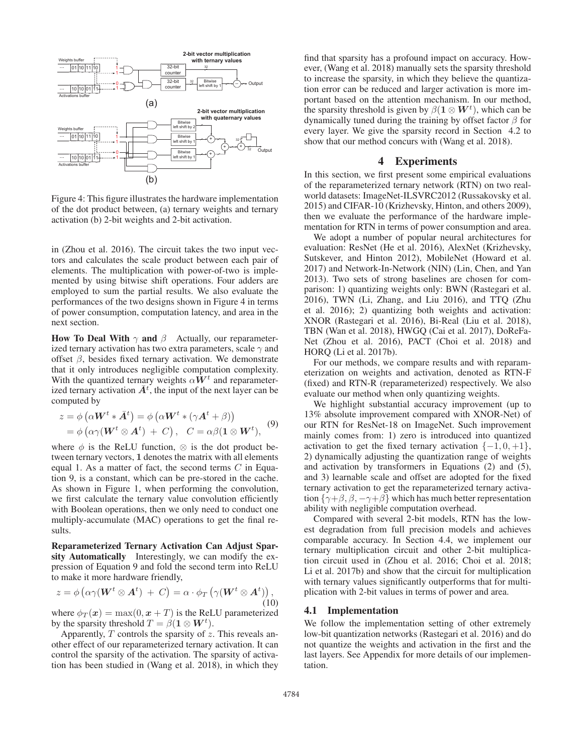

Figure 4: This figure illustrates the hardware implementation of the dot product between, (a) ternary weights and ternary activation (b) 2-bit weights and 2-bit activation.

in (Zhou et al. 2016). The circuit takes the two input vectors and calculates the scale product between each pair of elements. The multiplication with power-of-two is implemented by using bitwise shift operations. Four adders are employed to sum the partial results. We also evaluate the performances of the two designs shown in Figure 4 in terms of power consumption, computation latency, and area in the next section.

How To Deal With  $\gamma$  and  $\beta$  Actually, our reparameterized ternary activation has two extra parameters, scale  $\gamma$  and offset  $\beta$ , besides fixed ternary activation. We demonstrate that it only introduces negligible computation complexity. With the quantized ternary weights  $\alpha W^t$  and reparameterized ternary activation  $\bar{A}^t$ , the input of the next layer can be computed by

$$
z = \phi\left(\alpha \mathbf{W}^{t} * \bar{\mathbf{A}}^{t}\right) = \phi\left(\alpha \mathbf{W}^{t} * (\gamma \mathbf{A}^{t} + \beta)\right)
$$
  
=  $\phi\left(\alpha \gamma (\mathbf{W}^{t} \otimes \mathbf{A}^{t}) + C\right), \quad C = \alpha \beta(\mathbf{1} \otimes \mathbf{W}^{t}),$  (9)

where  $\phi$  is the ReLU function,  $\otimes$  is the dot product between ternary vectors, **1** denotes the matrix with all elements equal 1. As a matter of fact, the second terms  $C$  in Equation 9, is a constant, which can be pre-stored in the cache. As shown in Figure 1, when performing the convolution, we first calculate the ternary value convolution efficiently with Boolean operations, then we only need to conduct one multiply-accumulate (MAC) operations to get the final results.

Reparameterized Ternary Activation Can Adjust Sparsity Automatically Interestingly, we can modify the expression of Equation 9 and fold the second term into ReLU to make it more hardware friendly,

$$
z = \phi\left(\alpha\gamma(\boldsymbol{W}^t \otimes \boldsymbol{A}^t) + C\right) = \alpha \cdot \phi_T\left(\gamma(\boldsymbol{W}^t \otimes \boldsymbol{A}^t)\right),\tag{10}
$$

where  $\phi_T(\mathbf{x}) = \max(0, \mathbf{x} + T)$  is the ReLU parameterized by the sparsity threshold  $T = \beta(1 \otimes W^t)$ .

Apparently,  $T$  controls the sparsity of  $z$ . This reveals another effect of our reparameterized ternary activation. It can control the sparsity of the activation. The sparsity of activation has been studied in (Wang et al. 2018), in which they

find that sparsity has a profound impact on accuracy. However, (Wang et al. 2018) manually sets the sparsity threshold to increase the sparsity, in which they believe the quantization error can be reduced and larger activation is more important based on the attention mechanism. In our method, the sparsity threshold is given by  $\beta(1 \otimes W^t)$ , which can be dynamically tuned during the training by offset factor  $\beta$  for every layer. We give the sparsity record in Section 4.2 to show that our method concurs with (Wang et al. 2018).

## 4 Experiments

In this section, we first present some empirical evaluations of the reparameterized ternary network (RTN) on two realworld datasets: ImageNet-ILSVRC2012 (Russakovsky et al. 2015) and CIFAR-10 (Krizhevsky, Hinton, and others 2009), then we evaluate the performance of the hardware implementation for RTN in terms of power consumption and area.

We adopt a number of popular neural architectures for evaluation: ResNet (He et al. 2016), AlexNet (Krizhevsky, Sutskever, and Hinton 2012), MobileNet (Howard et al. 2017) and Network-In-Network (NIN) (Lin, Chen, and Yan 2013). Two sets of strong baselines are chosen for comparison: 1) quantizing weights only: BWN (Rastegari et al. 2016), TWN (Li, Zhang, and Liu 2016), and TTQ (Zhu et al. 2016); 2) quantizing both weights and activation: XNOR (Rastegari et al. 2016), Bi-Real (Liu et al. 2018), TBN (Wan et al. 2018), HWGQ (Cai et al. 2017), DoReFa-Net (Zhou et al. 2016), PACT (Choi et al. 2018) and HORQ (Li et al. 2017b).

For our methods, we compare results and with reparameterization on weights and activation, denoted as RTN-F (fixed) and RTN-R (reparameterized) respectively. We also evaluate our method when only quantizing weights.

We highlight substantial accuracy improvement (up to 13% absolute improvement compared with XNOR-Net) of our RTN for ResNet-18 on ImageNet. Such improvement mainly comes from: 1) zero is introduced into quantized activation to get the fixed ternary activation  $\{-1, 0, +1\}$ , 2) dynamically adjusting the quantization range of weights and activation by transformers in Equations (2) and (5), and 3) learnable scale and offset are adopted for the fixed ternary activation to get the reparameterized ternary activation  $\{\gamma+\beta, \beta, -\gamma+\beta\}$  which has much better representation ability with negligible computation overhead.

Compared with several 2-bit models, RTN has the lowest degradation from full precision models and achieves comparable accuracy. In Section 4.4, we implement our ternary multiplication circuit and other 2-bit multiplication circuit used in (Zhou et al. 2016; Choi et al. 2018; Li et al. 2017b) and show that the circuit for multiplication with ternary values significantly outperforms that for multiplication with 2-bit values in terms of power and area.

# 4.1 Implementation

We follow the implementation setting of other extremely low-bit quantization networks (Rastegari et al. 2016) and do not quantize the weights and activation in the first and the last layers. See Appendix for more details of our implementation.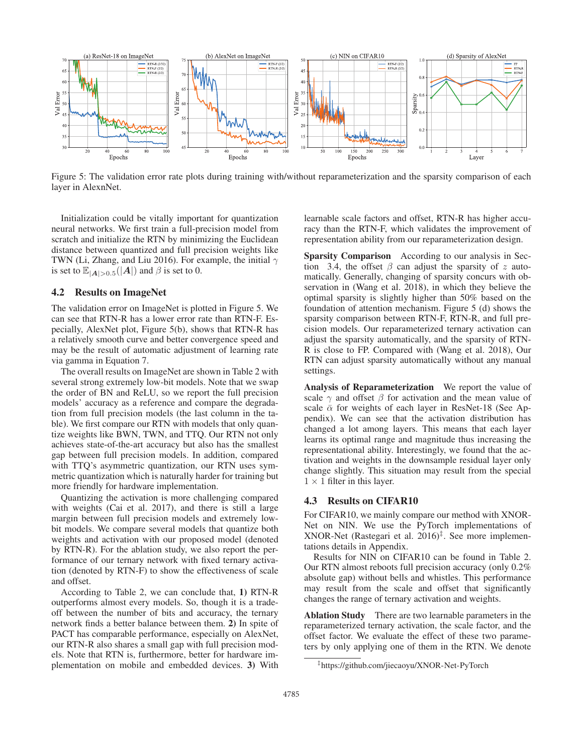

Figure 5: The validation error rate plots during training with/without reparameterization and the sparsity comparison of each layer in AlexnNet.

Initialization could be vitally important for quantization neural networks. We first train a full-precision model from scratch and initialize the RTN by minimizing the Euclidean distance between quantized and full precision weights like TWN (Li, Zhang, and Liu 2016). For example, the initial  $\gamma$ is set to  $\mathbb{E}_{|A|>0.5}(|A|)$  and  $\beta$  is set to 0.

# 4.2 Results on ImageNet

The validation error on ImageNet is plotted in Figure 5. We can see that RTN-R has a lower error rate than RTN-F. Especially, AlexNet plot, Figure 5(b), shows that RTN-R has a relatively smooth curve and better convergence speed and may be the result of automatic adjustment of learning rate via gamma in Equation 7.

The overall results on ImageNet are shown in Table 2 with several strong extremely low-bit models. Note that we swap the order of BN and ReLU, so we report the full precision models' accuracy as a reference and compare the degradation from full precision models (the last column in the table). We first compare our RTN with models that only quantize weights like BWN, TWN, and TTQ. Our RTN not only achieves state-of-the-art accuracy but also has the smallest gap between full precision models. In addition, compared with TTQ's asymmetric quantization, our RTN uses symmetric quantization which is naturally harder for training but more friendly for hardware implementation.

Quantizing the activation is more challenging compared with weights (Cai et al. 2017), and there is still a large margin between full precision models and extremely lowbit models. We compare several models that quantize both weights and activation with our proposed model (denoted by RTN-R). For the ablation study, we also report the performance of our ternary network with fixed ternary activation (denoted by RTN-F) to show the effectiveness of scale and offset.

According to Table 2, we can conclude that, 1) RTN-R outperforms almost every models. So, though it is a tradeoff between the number of bits and accuracy, the ternary network finds a better balance between them. 2) In spite of PACT has comparable performance, especially on AlexNet, our RTN-R also shares a small gap with full precision models. Note that RTN is, furthermore, better for hardware implementation on mobile and embedded devices. 3) With

learnable scale factors and offset, RTN-R has higher accuracy than the RTN-F, which validates the improvement of representation ability from our reparameterization design.

Sparsity Comparison According to our analysis in Section 3.4, the offset  $\beta$  can adjust the sparsity of z automatically. Generally, changing of sparsity concurs with observation in (Wang et al. 2018), in which they believe the optimal sparsity is slightly higher than 50% based on the foundation of attention mechanism. Figure 5 (d) shows the sparsity comparison between RTN-F, RTN-R, and full precision models. Our reparameterized ternary activation can adjust the sparsity automatically, and the sparsity of RTN-R is close to FP. Compared with (Wang et al. 2018), Our RTN can adjust sparsity automatically without any manual settings.

Analysis of Reparameterization We report the value of scale  $\gamma$  and offset  $\beta$  for activation and the mean value of scale  $\bar{\alpha}$  for weights of each layer in ResNet-18 (See Appendix). We can see that the activation distribution has changed a lot among layers. This means that each layer learns its optimal range and magnitude thus increasing the representational ability. Interestingly, we found that the activation and weights in the downsample residual layer only change slightly. This situation may result from the special  $1 \times 1$  filter in this layer.

#### 4.3 Results on CIFAR10

For CIFAR10, we mainly compare our method with XNOR-Net on NIN. We use the PyTorch implementations of XNOR-Net (Rastegari et al.  $2016$ <sup> $\ddagger$ </sup>. See more implementations details in Appendix.

Results for NIN on CIFAR10 can be found in Table 2. Our RTN almost reboots full precision accuracy (only 0.2% absolute gap) without bells and whistles. This performance may result from the scale and offset that significantly changes the range of ternary activation and weights.

Ablation Study There are two learnable parameters in the reparameterized ternary activation, the scale factor, and the offset factor. We evaluate the effect of these two parameters by only applying one of them in the RTN. We denote

<sup>‡</sup>https://github.com/jiecaoyu/XNOR-Net-PyTorch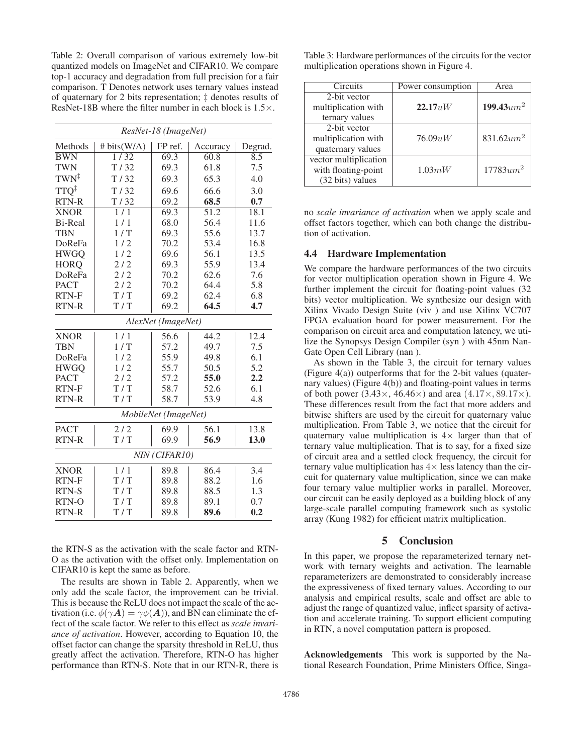Table 2: Overall comparison of various extremely low-bit quantized models on ImageNet and CIFAR10. We compare top-1 accuracy and degradation from full precision for a fair comparison. T Denotes network uses ternary values instead of quaternary for 2 bits representation; ‡ denotes results of ResNet-18B where the filter number in each block is  $1.5\times$ .

| ResNet-18 (ImageNet) |                  |         |          |         |  |  |
|----------------------|------------------|---------|----------|---------|--|--|
| Methods              | # bits(W/A)      | FP ref. | Accuracy | Degrad. |  |  |
| <b>BWN</b>           | $\frac{1}{32}$   | 69.3    | 60.8     | 8.5     |  |  |
| <b>TWN</b>           | T/32             | 69.3    | 61.8     | 7.5     |  |  |
| $TWN^{\ddagger}$     | T/32             | 69.3    | 65.3     | 4.0     |  |  |
| TTO <sup>‡</sup>     | T/32             | 69.6    | 66.6     | 3.0     |  |  |
| RTN-R                | T/32             | 69.2    | 68.5     | 0.7     |  |  |
| <b>XNOR</b>          | $1/\overline{1}$ | 69.3    | 51.2     | 18.1    |  |  |
| <b>Bi-Real</b>       | 1/1              | 68.0    | 56.4     | 11.6    |  |  |
| <b>TBN</b>           | 1/T              | 69.3    | 55.6     | 13.7    |  |  |
| DoReFa               | 1/2              | 70.2    | 53.4     | 16.8    |  |  |
| <b>HWGQ</b>          | 1/2              | 69.6    | 56.1     | 13.5    |  |  |
| <b>HORQ</b>          | 2/2              | 69.3    | 55.9     | 13.4    |  |  |
| DoReFa               | 2/2              | 70.2    | 62.6     | 7.6     |  |  |
| <b>PACT</b>          | 2/2              | 70.2    | 64.4     | 5.8     |  |  |
| RTN-F                | T/T              | 69.2    | 62.4     | 6.8     |  |  |
| RTN-R                | T/T              | 69.2    | 64.5     | 4.7     |  |  |
| AlexNet (ImageNet)   |                  |         |          |         |  |  |
| <b>XNOR</b>          | 1/1              | 56.6    | 44.2     | 12.4    |  |  |
| <b>TBN</b>           | 1/T              | 57.2    | 49.7     | 7.5     |  |  |
| DoReFa               | 1/2              | 55.9    | 49.8     | 6.1     |  |  |
| <b>HWGQ</b>          | 1/2              | 55.7    | 50.5     | 5.2     |  |  |
| <b>PACT</b>          | 2/2              | 57.2    | 55.0     | 2.2     |  |  |
| RTN-F                | T/T              | 58.7    | 52.6     | 6.1     |  |  |
| RTN-R                | T/T              | 58.7    | 53.9     | 4.8     |  |  |
| MobileNet (ImageNet) |                  |         |          |         |  |  |
| <b>PACT</b>          | 2/2              | 69.9    | 56.1     | 13.8    |  |  |
| RTN-R                | T/T              | 69.9    | 56.9     | 13.0    |  |  |
| NIN (CIFAR10)        |                  |         |          |         |  |  |
| <b>XNOR</b>          | 1/1              | 89.8    | 86.4     | 3.4     |  |  |
| RTN-F                | T/T              | 89.8    | 88.2     | 1.6     |  |  |
| <b>RTN-S</b>         | T/T              | 89.8    | 88.5     | 1.3     |  |  |
| RTN-O                | T/T              | 89.8    | 89.1     | 0.7     |  |  |
| <b>RTN-R</b>         | T/T              | 89.8    | 89.6     | 0.2     |  |  |

the RTN-S as the activation with the scale factor and RTN-O as the activation with the offset only. Implementation on CIFAR10 is kept the same as before.

The results are shown in Table 2. Apparently, when we only add the scale factor, the improvement can be trivial. This is because the ReLU does not impact the scale of the activation (i.e.  $\phi(\gamma A) = \gamma \phi(A)$ ), and BN can eliminate the effect of the scale factor. We refer to this effect as *scale invariance of activation*. However, according to Equation 10, the offset factor can change the sparsity threshold in ReLU, thus greatly affect the activation. Therefore, RTN-O has higher performance than RTN-S. Note that in our RTN-R, there is

Table 3: Hardware performances of the circuits for the vector multiplication operations shown in Figure 4.

| Circuits              | Power consumption | Area                     |
|-----------------------|-------------------|--------------------------|
| 2-bit vector          |                   |                          |
| multiplication with   | 22.17 uW          | $199.43$ um <sup>2</sup> |
| ternary values        |                   |                          |
| 2-bit vector          |                   |                          |
| multiplication with   | 76.09uW           | 831.62 $um^2$            |
| quaternary values     |                   |                          |
| vector multiplication |                   |                          |
| with floating-point   | 1.03mW            | $17783$ um <sup>2</sup>  |
| (32 bits) values      |                   |                          |

no *scale invariance of activation* when we apply scale and offset factors together, which can both change the distribution of activation.

#### 4.4 Hardware Implementation

We compare the hardware performances of the two circuits for vector multiplication operation shown in Figure 4. We further implement the circuit for floating-point values (32 bits) vector multiplication. We synthesize our design with Xilinx Vivado Design Suite (viv ) and use Xilinx VC707 FPGA evaluation board for power measurement. For the comparison on circuit area and computation latency, we utilize the Synopsys Design Compiler (syn ) with 45nm Nan-Gate Open Cell Library (nan ).

As shown in the Table 3, the circuit for ternary values (Figure 4(a)) outperforms that for the 2-bit values (quaternary values) (Figure 4(b)) and floating-point values in terms of both power  $(3.43\times, 46.46\times)$  and area  $(4.17\times, 89.17\times)$ . These differences result from the fact that more adders and bitwise shifters are used by the circuit for quaternary value multiplication. From Table 3, we notice that the circuit for quaternary value multiplication is  $4 \times$  larger than that of ternary value multiplication. That is to say, for a fixed size of circuit area and a settled clock frequency, the circuit for ternary value multiplication has  $4\times$  less latency than the circuit for quaternary value multiplication, since we can make four ternary value multiplier works in parallel. Moreover, our circuit can be easily deployed as a building block of any large-scale parallel computing framework such as systolic array (Kung 1982) for efficient matrix multiplication.

## 5 Conclusion

In this paper, we propose the reparameterized ternary network with ternary weights and activation. The learnable reparameterizers are demonstrated to considerably increase the expressiveness of fixed ternary values. According to our analysis and empirical results, scale and offset are able to adjust the range of quantized value, inflect sparsity of activation and accelerate training. To support efficient computing in RTN, a novel computation pattern is proposed.

Acknowledgements This work is supported by the National Research Foundation, Prime Ministers Office, Singa